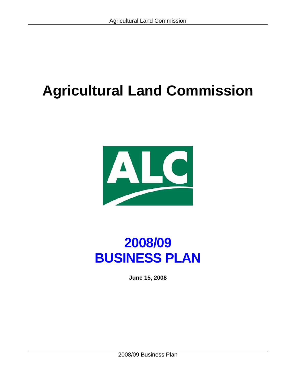# **Agricultural Land Commission**



## **2008/09 BUSINESS PLAN**

**June 15, 2008**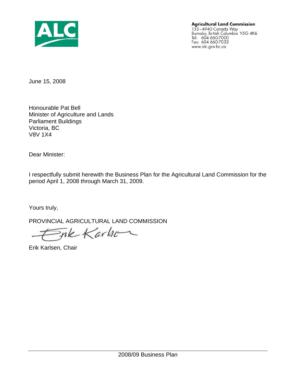

**Agricultural Land Commission** 

133–4940 Canada Way<br>Burnaby, British Columbia V5G 4K6<br>Tel: 604 660-7000<br>Fax: 604 660-7033 www.alc.gov.bc.ca

June 15, 2008

Honourable Pat Bell Minister of Agriculture and Lands Parliament Buildings Victoria, BC V8V 1X4

Dear Minister:

I respectfully submit herewith the Business Plan for the Agricultural Land Commission for the period April 1, 2008 through March 31, 2009.

Yours truly,

PROVINCIAL AGRICULTURAL LAND COMMISSION

The Karken

Erik Karlsen, Chair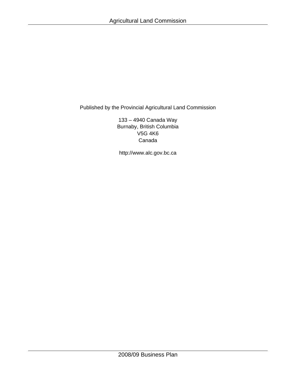Published by the Provincial Agricultural Land Commission

133 – 4940 Canada Way Burnaby, British Columbia V5G 4K6 Canada

http://www.alc.gov.bc.ca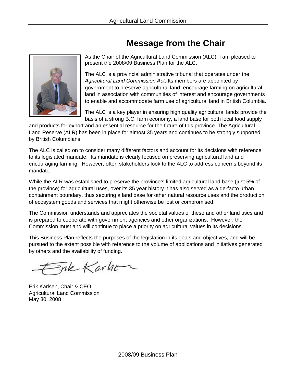## **Message from the Chair**



As the Chair of the Agricultural Land Commission (ALC), I am pleased to present the 2008/09 Business Plan for the ALC.

The ALC is a provincial administrative tribunal that operates under the *Agricultural Land Commission Act*. Its members are appointed by government to preserve agricultural land, encourage farming on agricultural land in association with communities of interest and encourage governments to enable and accommodate farm use of agricultural land in British Columbia.

The ALC is a key player in ensuring high quality agricultural lands provide the basis of a strong B.C. farm economy, a land base for both local food supply

and products for export and an essential resource for the future of this province. The Agricultural Land Reserve (ALR) has been in place for almost 35 years and continues to be strongly supported by British Columbians.

The ALC is called on to consider many different factors and account for its decisions with reference to its legislated mandate. Its mandate is clearly focused on preserving agricultural land and encouraging farming. However, often stakeholders look to the ALC to address concerns beyond its mandate.

While the ALR was established to preserve the province's limited agricultural land base (just 5% of the province) for agricultural uses, over its 35 year history it has also served as a de-facto urban containment boundary, thus securing a land base for other natural resource uses and the production of ecosystem goods and services that might otherwise be lost or compromised.

The Commission understands and appreciates the societal values of these and other land uses and is prepared to cooperate with government agencies and other organizations. However, the Commission must and will continue to place a priority on agricultural values in its decisions.

This Business Plan reflects the purposes of the legislation in its goals and objectives, and will be pursued to the extent possible with reference to the volume of applications and initiatives generated by others and the availability of funding.

The Karken

Erik Karlsen, Chair & CEO Agricultural Land Commission May 30, 2008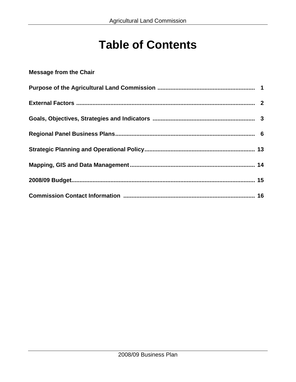## **Table of Contents**

| <b>Message from the Chair</b> |  |
|-------------------------------|--|
|                               |  |
|                               |  |
|                               |  |
|                               |  |
|                               |  |
|                               |  |
|                               |  |
|                               |  |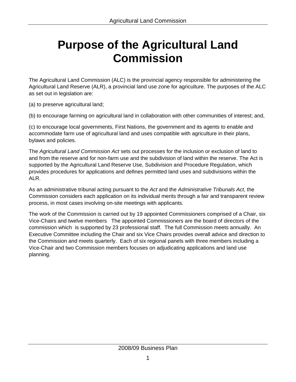## **Purpose of the Agricultural Land Commission**

The Agricultural Land Commission (ALC) is the provincial agency responsible for administering the Agricultural Land Reserve (ALR), a provincial land use zone for agriculture. The purposes of the ALC as set out in legislation are:

(a) to preserve agricultural land;

(b) to encourage farming on agricultural land in collaboration with other communities of interest; and,

(c) to encourage local governments, First Nations, the government and its agents to enable and accommodate farm use of agricultural land and uses compatible with agriculture in their plans, bylaws and policies.

The *Agricultural Land Commission Act* sets out processes for the inclusion or exclusion of land to and from the reserve and for non-farm use and the subdivision of land within the reserve. The Act is supported by the Agricultural Land Reserve Use, Subdivision and Procedure Regulation, which provides procedures for applications and defines permitted land uses and subdivisions within the ALR.

As an administrative tribunal acting pursuant to the *Act* and the *Administrative Tribunals Act*, the Commission considers each application on its individual merits through a fair and transparent review process, in most cases involving on-site meetings with applicants.

The work of the Commission is carried out by 19 appointed Commissioners comprised of a Chair, six Vice-Chairs and twelve members The appointed Commissioners are the board of directors of the commission which is supported by 23 professional staff. The full Commission meets annually. An Executive Committee including the Chair and six Vice Chairs provides overall advice and direction to the Commission and meets quarterly. Each of six regional panels with three members including a Vice-Chair and two Commission members focuses on adjudicating applications and land use planning.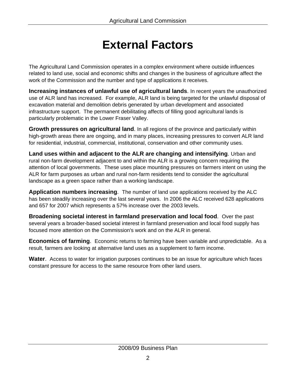## **External Factors**

The Agricultural Land Commission operates in a complex environment where outside influences related to land use, social and economic shifts and changes in the business of agriculture affect the work of the Commission and the number and type of applications it receives.

**Increasing instances of unlawful use of agricultural lands**. In recent years the unauthorized use of ALR land has increased. For example, ALR land is being targeted for the unlawful disposal of excavation material and demolition debris generated by urban development and associated infrastructure support. The permanent debilitating affects of filling good agricultural lands is particularly problematic in the Lower Fraser Valley.

**Growth pressures on agricultural land**. In all regions of the province and particularly within high-growth areas there are ongoing, and in many places, increasing pressures to convert ALR land for residential, industrial, commercial, institutional, conservation and other community uses.

**Land uses within and adjacent to the ALR are changing and intensifying**. Urban and rural non-farm development adjacent to and within the ALR is a growing concern requiring the attention of local governments. These uses place mounting pressures on farmers intent on using the ALR for farm purposes as urban and rural non-farm residents tend to consider the agricultural landscape as a green space rather than a working landscape.

**Application numbers increasing**. The number of land use applications received by the ALC has been steadily increasing over the last several years. In 2006 the ALC received 628 applications and 657 for 2007 which represents a 57% increase over the 2003 levels.

**Broadening societal interest in farmland preservation and local food**. Over the past several years a broader-based societal interest in farmland preservation and local food supply has focused more attention on the Commission's work and on the ALR in general.

**Economics of farming**. Economic returns to farming have been variable and unpredictable. As a result, farmers are looking at alternative land uses as a supplement to farm income.

**Water**. Access to water for irrigation purposes continues to be an issue for agriculture which faces constant pressure for access to the same resource from other land users.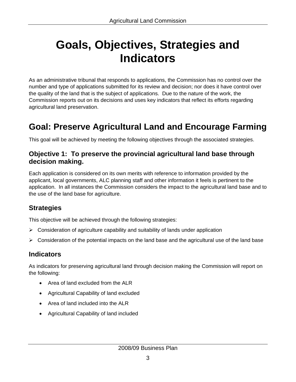## **Goals, Objectives, Strategies and Indicators**

As an administrative tribunal that responds to applications, the Commission has no control over the number and type of applications submitted for its review and decision; nor does it have control over the quality of the land that is the subject of applications. Due to the nature of the work, the Commission reports out on its decisions and uses key indicators that reflect its efforts regarding agricultural land preservation.

## **Goal: Preserve Agricultural Land and Encourage Farming**

This goal will be achieved by meeting the following objectives through the associated strategies.

#### **Objective 1: To preserve the provincial agricultural land base through decision making.**

Each application is considered on its own merits with reference to information provided by the applicant, local governments, ALC planning staff and other information it feels is pertinent to the application. In all instances the Commission considers the impact to the agricultural land base and to the use of the land base for agriculture.

### **Strategies**

This objective will be achieved through the following strategies:

- $\triangleright$  Consideration of agriculture capability and suitability of lands under application
- $\triangleright$  Consideration of the potential impacts on the land base and the agricultural use of the land base

### **Indicators**

As indicators for preserving agricultural land through decision making the Commission will report on the following:

- Area of land excluded from the ALR
- Agricultural Capability of land excluded
- Area of land included into the ALR
- Agricultural Capability of land included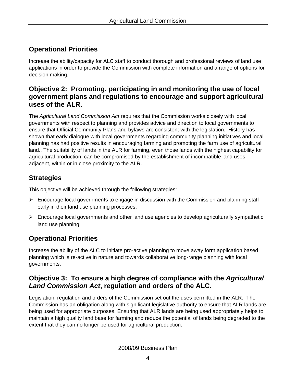### **Operational Priorities**

Increase the ability/capacity for ALC staff to conduct thorough and professional reviews of land use applications in order to provide the Commission with complete information and a range of options for decision making.

### **Objective 2: Promoting, participating in and monitoring the use of local government plans and regulations to encourage and support agricultural uses of the ALR.**

The *Agricultural Land Commission Act* requires that the Commission works closely with local governments with respect to planning and provides advice and direction to local governments to ensure that Official Community Plans and bylaws are consistent with the legislation. History has shown that early dialogue with local governments regarding community planning initiatives and local planning has had positive results in encouraging farming and promoting the farm use of agricultural land.. The suitability of lands in the ALR for farming, even those lands with the highest capability for agricultural production, can be compromised by the establishment of incompatible land uses adjacent, within or in close proximity to the ALR.

### **Strategies**

This objective will be achieved through the following strategies:

- $\triangleright$  Encourage local governments to engage in discussion with the Commission and planning staff early in their land use planning processes.
- $\triangleright$  Encourage local governments and other land use agencies to develop agriculturally sympathetic land use planning.

## **Operational Priorities**

Increase the ability of the ALC to initiate pro-active planning to move away form application based planning which is re-active in nature and towards collaborative long-range planning with local governments.

### **Objective 3: To ensure a high degree of compliance with the** *Agricultural Land Commission Act***, regulation and orders of the ALC.**

Legislation, regulation and orders of the Commission set out the uses permitted in the ALR. The Commission has an obligation along with significant legislative authority to ensure that ALR lands are being used for appropriate purposes. Ensuring that ALR lands are being used appropriately helps to maintain a high quality land base for farming and reduce the potential of lands being degraded to the extent that they can no longer be used for agricultural production.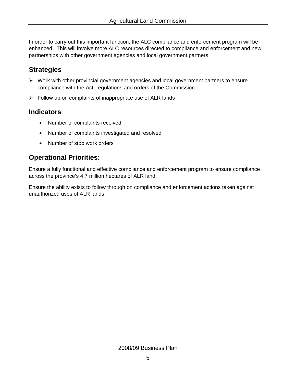In order to carry out this important function, the ALC compliance and enforcement program will be enhanced. This will involve more ALC resources directed to compliance and enforcement and new partnerships with other government agencies and local government partners.

### **Strategies**

- ¾ Work with other provincial government agencies and local government partners to ensure compliance with the Act, regulations and orders of the Commission
- $\triangleright$  Follow up on complaints of inappropriate use of ALR lands

### **Indicators**

- Number of complaints received
- Number of complaints investigated and resolved
- Number of stop work orders

### **Operational Priorities:**

Ensure a fully functional and effective compliance and enforcement program to ensure compliance across the province's 4.7 million hectares of ALR land.

Ensure the ability exists to follow through on compliance and enforcement actions taken against unauthorized uses of ALR lands.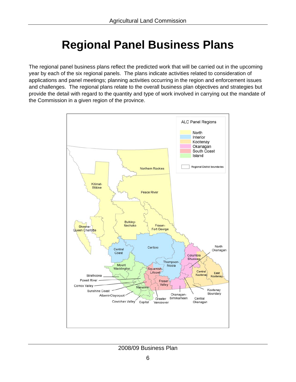## **Regional Panel Business Plans**

The regional panel business plans reflect the predicted work that will be carried out in the upcoming year by each of the six regional panels. The plans indicate activities related to consideration of applications and panel meetings; planning activities occurring in the region and enforcement issues and challenges. The regional plans relate to the overall business plan objectives and strategies but provide the detail with regard to the quantity and type of work involved in carrying out the mandate of the Commission in a given region of the province.

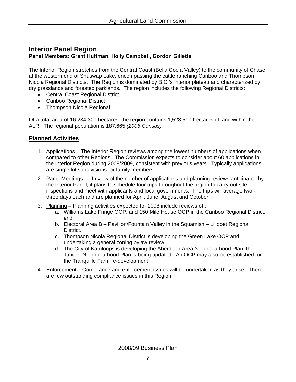#### **Interior Panel Region Panel Members: Grant Huffman, Holly Campbell, Gordon Gillette**

The Interior Region stretches from the Central Coast (Bella Coola Valley) to the community of Chase at the western end of Shuswap Lake, encompassing the cattle ranching Cariboo and Thompson Nicola Regional Districts. The Region is dominated by B.C.'s interior plateau and characterized by dry grasslands and forested parklands. The region includes the following Regional Districts:

- Central Coast Regional District
- Cariboo Regional District
- Thompson Nicola Regional

Of a total area of 16,234,300 hectares, the region contains 1,528,500 hectares of land within the ALR. The regional population is 187,665 *(2006 Census).*

- 1. Applications The Interior Region reviews among the lowest numbers of applications when compared to other Regions. The Commission expects to consider about 60 applications in the Interior Region during 2008/2009, consistent with previous years. Typically applications are single lot subdivisions for family members.
- 2. Panel Meetings In view of the number of applications and planning reviews anticipated by the Interior Panel, it plans to schedule four trips throughout the region to carry out site inspections and meet with applicants and local governments. The trips will average two three days each and are planned for April, June, August and October.
- 3. Planning Planning activities expected for 2008 include reviews of ;
	- a. Williams Lake Fringe OCP, and 150 Mile House OCP in the Cariboo Regional District, and
	- b. Electoral Area B Pavilion/Fountain Valley in the Squamish Lillooet Regional District.
	- c. Thompson Nicola Regional District is developing the Green Lake OCP and undertaking a general zoning bylaw review.
	- d. The City of Kamloops is developing the Aberdeen Area Neighbourhood Plan; the Juniper Neighbourhood Plan is being updated. An OCP may also be established for the Tranquille Farm re-development.
- 4. Enforcement Compliance and enforcement issues will be undertaken as they arise. There are few outstanding compliance issues in this Region.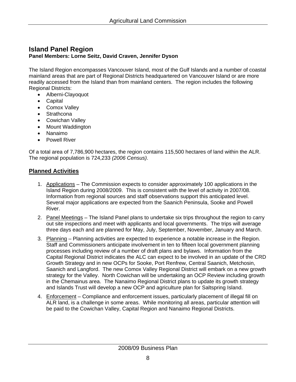#### **Island Panel Region Panel Members: Lorne Seitz, David Craven, Jennifer Dyson**

The Island Region encompasses Vancouver Island, most of the Gulf Islands and a number of coastal mainland areas that are part of Regional Districts headquartered on Vancouver Island or are more readily accessed from the Island than from mainland centers. The region includes the following Regional Districts:

- Alberni-Clayoquot
- Capital
- Comox Valley
- Strathcona
- Cowichan Valley
- Mount Waddington
- Nanaimo
- Powell River

Of a total area of 7,786,900 hectares, the region contains 115,500 hectares of land within the ALR. The regional population is 724,233 *(2006 Census)*.

- 1. Applications The Commission expects to consider approximately 100 applications in the Island Region during 2008/2009. This is consistent with the level of activity in 2007/08. Information from regional sources and staff observations support this anticipated level. Several major applications are expected from the Saanich Peninsula, Sooke and Powell River.
- 2. Panel Meetings The Island Panel plans to undertake six trips throughout the region to carry out site inspections and meet with applicants and local governments. The trips will average three days each and are planned for May, July, September, November, January and March.
- 3. Planning Planning activities are expected to experience a notable increase in the Region. Staff and Commissioners anticipate involvement in ten to fifteen local government planning processes including review of a number of draft plans and bylaws. Information from the Capital Regional District indicates the ALC can expect to be involved in an update of the CRD Growth Strategy and in new OCPs for Sooke, Port Renfrew, Central Saanich, Metchosin, Saanich and Langford. The new Comox Valley Regional District will embark on a new growth strategy for the Valley. North Cowichan will be undertaking an OCP Review including growth in the Chemainus area. The Nanaimo Regional District plans to update its growth strategy and Islands Trust will develop a new OCP and agriculture plan for Saltspring Island.
- 4. Enforcement Compliance and enforcement issues, particularly placement of illegal fill on ALR land, is a challenge in some areas. While monitoring all areas, particular attention will be paid to the Cowichan Valley, Capital Region and Nanaimo Regional Districts.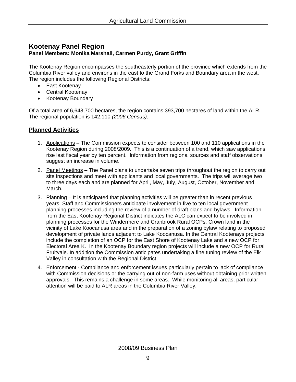#### **Kootenay Panel Region Panel Members: Monika Marshall, Carmen Purdy, Grant Griffin**

The Kootenay Region encompasses the southeasterly portion of the province which extends from the Columbia River valley and environs in the east to the Grand Forks and Boundary area in the west. The region includes the following Regional Districts:

- East Kootenay
- Central Kootenay
- Kootenay Boundary

Of a total area of 6,648,700 hectares, the region contains 393,700 hectares of land within the ALR. The regional population is 142,110 *(2006 Census)*.

- 1. Applications The Commission expects to consider between 100 and 110 applications in the Kootenay Region during 2008/2009. This is a continuation of a trend, which saw applications rise last fiscal year by ten percent. Information from regional sources and staff observations suggest an increase in volume.
- 2. Panel Meetings The Panel plans to undertake seven trips throughout the region to carry out site inspections and meet with applicants and local governments. The trips will average two to three days each and are planned for April, May, July, August, October, November and March.
- 3. Planning It is anticipated that planning activities will be greater than in recent previous years. Staff and Commissioners anticipate involvement in five to ten local government planning processes including the review of a number of draft plans and bylaws. Information from the East Kootenay Regional District indicates the ALC can expect to be involved in planning processes for the Windermere and Cranbrook Rural OCPs, Crown land in the vicinity of Lake Koocanusa area and in the preparation of a zoning bylaw relating to proposed development of private lands adjacent to Lake Koocanusa. In the Central Kootenays projects include the completion of an OCP for the East Shore of Kootenay Lake and a new OCP for Electoral Area K. In the Kootenay Boundary region projects will include a new OCP for Rural Fruitvale. In addition the Commission anticipates undertaking a fine tuning review of the Elk Valley in consultation with the Regional District.
- 4. Enforcement Compliance and enforcement issues particularly pertain to lack of compliance with Commission decisions or the carrying out of non-farm uses without obtaining prior written approvals. This remains a challenge in some areas. While monitoring all areas, particular attention will be paid to ALR areas in the Columbia River Valley.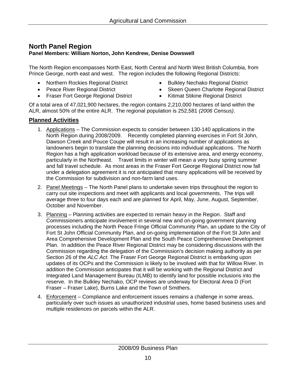#### **North Panel Region Panel Members: William Norton, John Kendrew, Denise Dowswell**

The North Region encompasses North East, North Central and North West British Columbia, from Prince George, north east and west. The region includes the following Regional Districts:

- 
- 
- Northern Rockies Regional District Bulkley Nechako Regional District
- Peace River Regional District Skeen Queen Charlotte Regional District
- Fraser Fort George Regional District Kitimat Stikine Regional District
	-

Of a total area of 47,021,900 hectares, the region contains 2,210,000 hectares of land within the ALR, almost 50% of the entire ALR. The regional population is 252,581 *(2006 Census)*.

- 1. Applications The Commission expects to consider between 130-140 applications in the North Region during 2008/2009. Recently completed planning exercises in Fort St John, Dawson Creek and Pouce Coupe will result in an increasing number of applications as landowners begin to translate the planning decisions into individual applications. The North Region has a high application workload because of its extensive area, and energy economy, particularly in the Northeast. Travel limits in winter will mean a very busy spring summer and fall travel schedule. As most areas in the Fraser Fort George Regional District now fall under a delegation agreement it is not anticipated that many applications will be received by the Commission for subdivision and non-farm land uses.
- 2. Panel Meetings The North Panel plans to undertake seven trips throughout the region to carry out site inspections and meet with applicants and local governments. The trips will average three to four days each and are planned for April, May, June, August, September, October and November.
- 3. Planning Planning activities are expected to remain heavy in the Region. Staff and Commissioners anticipate involvement in several new and on-going government planning processes including the North Peace Fringe Official Community Plan, an update to the City of Fort St John Official Community Plan, and on-going implementation of the Fort St John and Area Comprehensive Development Plan and the South Peace Comprehensive Development Plan. In addition the Peace River Regional District may be considering discussions with the Commission regarding the delegation of the Commission's decision making authority as per Section 26 of the *ALC Act*. The Fraser Fort George Regional District is embarking upon updates of its OCPs and the Commission is likely to be involved with that for Willow River. In addition the Commission anticipates that it will be working with the Regional District and Integrated Land Management Bureau (ILMB) to identify land for possible inclusions into the reserve. In the Bulkley Nechako, OCP reviews are underway for Electoral Area D (Fort Fraser – Fraser Lake), Burns Lake and the Town of Smithers.
- 4. Enforcement Compliance and enforcement issues remains a challenge in some areas, particularly over such issues as unauthorized industrial uses, home based business uses and multiple residences on parcels within the ALR.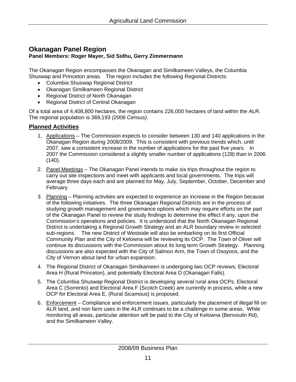#### **Okanagan Panel Region Panel Members: Roger Mayer, Sid Sidhu, Gerry Zimmermann**

The Okanagan Region encompasses the Okanagan and Similkameen Valleys, the Columbia Shuswap and Princeton areas. The region includes the following Regional Districts:

- Columbia Shuswap Regional District
- Okanagan Similkameen Regional District
- Regional District of North Okanagan
- Regional District of Central Okanagan

Of a total area of 4,408,800 hectares, the region contains 226,000 hectares of land within the ALR. The regional population is 369,193 *(2006 Census)*.

- 1. Applications The Commission expects to consider between 130 and 140 applications in the Okanagan Region during 2008/2009. This is consistent with previous trends which, until 2007, saw a consistent increase in the number of applications for the past five years. In 2007 the Commission considered a slightly smaller number of applications (128) than in 2006 (140).
- 2. Panel Meetings The Okanagan Panel intends to make six trips throughout the region to carry out site inspections and meet with applicants and local governments. The trips will average three days each and are planned for May, July, September, October, December and February.
- 3. Planning Planning activities are expected to experience an increase in the Region because of the following initiatives. The three Okanagan Regional Districts are in the process of studying growth management and governance options which may require efforts on the part of the Okanagan Panel to review the study findings to determine the effect if any, upon the Commission's operations and policies. It is understood that the North Okanagan Regional District is undertaking a Regional Growth Strategy and an ALR boundary review in selected sub-regions. The new District of Westside will also be embarking on its first Official Community Plan and the City of Kelowna will be reviewing its OCP. The Town of Oliver will continue its discussions with the Commission about its long term Growth Strategy. Planning discussions are also expected with the City of Salmon Arm, the Town of Osoyoos, and the City of Vernon about land for urban expansion.
- 4. The Regional District of Okanagan Similkameen is undergoing two OCP reviews; Electoral Area H (Rural Princeton), and potentially Electoral Area D (Okanagan Falls).
- 5. The Columbia Shuswap Regional District is developing several rural area OCPs. Electoral Area C (Sorrento) and Electoral Area F (Scotch Creek) are currently in process, while a new OCP for Electoral Area E, (Rural Sicamous) is proposed.
- 6. Enforcement Compliance and enforcement issues, particularly the placement of illegal fill on ALR land, and non farm uses in the ALR continues to be a challenge in some areas. While monitoring all areas, particular attention will be paid to the City of Kelowna (Benvoulin Rd), and the Similkameen Valley.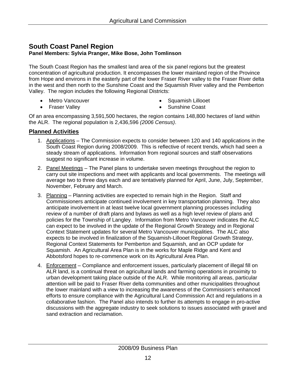### **South Coast Panel Region**

#### **Panel Members: Sylvia Pranger, Mike Bose, John Tomlinson**

The South Coast Region has the smallest land area of the six panel regions but the greatest concentration of agricultural production. It encompasses the lower mainland region of the Province from Hope and environs in the easterly part of the lower Fraser River valley to the Fraser River delta in the west and then north to the Sunshine Coast and the Squamish River valley and the Pemberton Valley. The region includes the following Regional Districts:

- 
- Metro Vancouver Squamish Lillooet
	-
- Fraser Valley  **Sunshine Coast**

Of an area encompassing 3,591,500 hectares, the region contains 148,800 hectares of land within the ALR. The regional population is 2,436,596 *(2006 Census)*.

- 1. Applications The Commission expects to consider between 120 and 140 applications in the South Coast Region during 2008/2009. This is reflective of recent trends, which had seen a steady stream of applications. Information from regional sources and staff observations suggest no significant increase in volume.
- 2. Panel Meetings The Panel plans to undertake seven meetings throughout the region to carry out site inspections and meet with applicants and local governments. The meetings will average two to three days each and are tentatively planned for April, June, July, September, November, February and March.
- 3. Planning Planning activities are expected to remain high in the Region. Staff and Commissioners anticipate continued involvement in key transportation planning. They also anticipate involvement in at least twelve local government planning processes including review of a number of draft plans and bylaws as well as a high level review of plans and policies for the Township of Langley. Information from Metro Vancouver indicates the ALC can expect to be involved in the update of the Regional Growth Strategy and in Regional Context Statement updates for several Metro Vancouver municipalities. The ALC also expects to be involved in finalization of the Squamish-Lillooet Regional Growth Strategy, Regional Context Statements for Pemberton and Squamish, and an OCP update for Squamish. An Agricultural Area Plan is in the works for Maple Ridge and Kent and Abbotsford hopes to re-commence work on its Agricultural Area Plan.
- 4. Enforcement Compliance and enforcement issues, particularly placement of illegal fill on ALR land, is a continual threat on agricultural lands and farming operations in proximity to urban development taking place outside of the ALR. While monitoring all areas, particular attention will be paid to Fraser River delta communities and other municipalities throughout the lower mainland with a view to increasing the awareness of the Commission's enhanced efforts to ensure compliance with the Agricultural Land Commission Act and regulations in a collaborative fashion. The Panel also intends to further its attempts to engage in pro-active discussions with the aggregate industry to seek solutions to issues associated with gravel and sand extraction and reclamation.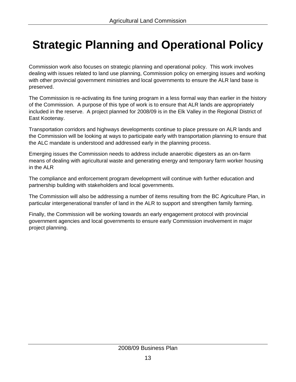## **Strategic Planning and Operational Policy**

Commission work also focuses on strategic planning and operational policy. This work involves dealing with issues related to land use planning, Commission policy on emerging issues and working with other provincial government ministries and local governments to ensure the ALR land base is preserved.

The Commission is re-activating its fine tuning program in a less formal way than earlier in the history of the Commission. A purpose of this type of work is to ensure that ALR lands are appropriately included in the reserve. A project planned for 2008/09 is in the Elk Valley in the Regional District of East Kootenay.

Transportation corridors and highways developments continue to place pressure on ALR lands and the Commission will be looking at ways to participate early with transportation planning to ensure that the ALC mandate is understood and addressed early in the planning process.

Emerging issues the Commission needs to address include anaerobic digesters as an on-farm means of dealing with agricultural waste and generating energy and temporary farm worker housing in the ALR

The compliance and enforcement program development will continue with further education and partnership building with stakeholders and local governments.

The Commission will also be addressing a number of items resulting from the BC Agriculture Plan, in particular intergenerational transfer of land in the ALR to support and strengthen family farming.

Finally, the Commission will be working towards an early engagement protocol with provincial government agencies and local governments to ensure early Commission involvement in major project planning.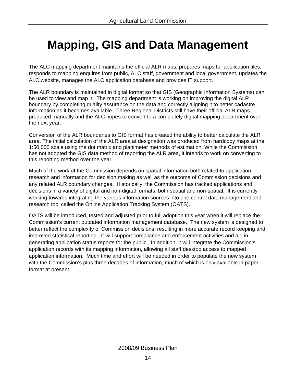## **Mapping, GIS and Data Management**

The ALC mapping department maintains the official ALR maps, prepares maps for application files, responds to mapping enquires from public, ALC staff, government and local government, updates the ALC website, manages the ALC application database and provides IT support.

The ALR boundary is maintained in digital format so that GIS (Geographic Information Systems) can be used to view and map it. The mapping department is working on improving the digital ALR boundary by completing quality assurance on the data and correctly aligning it to better cadastre information as it becomes available. Three Regional Districts still have their official ALR maps produced manually and the ALC hopes to convert to a completely digital mapping department over the next year.

Conversion of the ALR boundaries to GIS format has created the ability to better calculate the ALR area. The initial calculation of the ALR area at designation was produced from hardcopy maps at the 1:50,000 scale using the dot matrix and planimeter methods of estimation. While the Commission has not adopted the GIS data method of reporting the ALR area, it intends to work on converting to this reporting method over the year.

Much of the work of the Commission depends on spatial information both related to application research and information for decision making as well as the outcome of Commission decisions and any related ALR boundary changes. Historically, the Commission has tracked applications and decisions in a variety of digital and non-digital formats, both spatial and non-spatial. It is currently working towards integrating the various information sources into one central data management and research tool called the Online Application Tracking System (OATS).

OATS will be introduced, tested and adjusted prior to full adoption this year when it will replace the Commission's current outdated information management database. The new system is designed to better reflect the complexity of Commission decisions, resulting in more accurate record keeping and improved statistical reporting. It will support compliance and enforcement activities and aid in generating application status reports for the public. In addition, it will integrate the Commission's application records with its mapping information, allowing all staff desktop access to mapped application information. Much time and effort will be needed in order to populate the new system with the Commission's plus three decades of information, much of which is only available in paper format at present.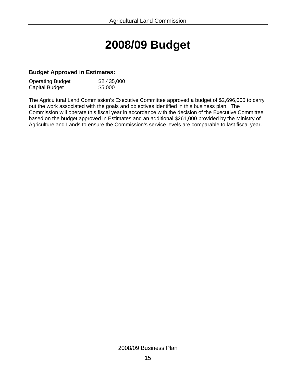## **2008/09 Budget**

#### **Budget Approved in Estimates:**

| <b>Operating Budget</b> | \$2,435,000 |
|-------------------------|-------------|
| Capital Budget          | \$5,000     |

The Agricultural Land Commission's Executive Committee approved a budget of \$2,696,000 to carry out the work associated with the goals and objectives identified in this business plan. The Commission will operate this fiscal year in accordance with the decision of the Executive Committee based on the budget approved in Estimates and an additional \$261,000 provided by the Ministry of Agriculture and Lands to ensure the Commission's service levels are comparable to last fiscal year.